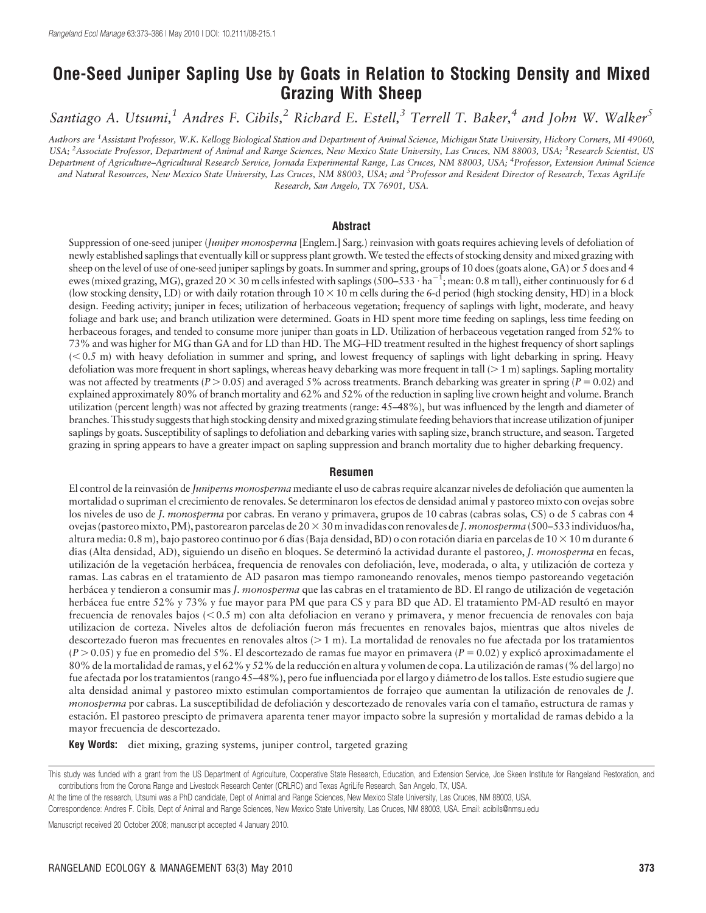# One-Seed Juniper Sapling Use by Goats in Relation to Stocking Density and Mixed Grazing With Sheep

Santiago A. Utsumi,<sup>1</sup> Andres F. Cibils,<sup>2</sup> Richard E. Estell,<sup>3</sup> Terrell T. Baker,<sup>4</sup> and John W. Walker<sup>5</sup>

Authors are <sup>1</sup> Assistant Professor, W.K. Kellogg Biological Station and Department of Animal Science, Michigan State University, Hickory Corners, MI 49060, USA; <sup>2</sup> Associate Professor, Department of Animal and Range Sciences, New Mexico State University, Las Cruces, NM 88003, USA; <sup>3</sup> Research Scientist, US Department of Agriculture–Agricultural Research Service, Jornada Experimental Range, Las Cruces, NM 88003, USA; <sup>4</sup> Professor, Extension Animal Science and Natural Resources, New Mexico State University, Las Cruces, NM 88003, USA; and <sup>5</sup>Professor and Resident Director of Research, Texas AgriLife Research, San Angelo, TX 76901, USA.

#### **Abstract**

Suppression of one-seed juniper (*Juniper monosperma* [Englem.] Sarg.) reinvasion with goats requires achieving levels of defoliation of newly established saplings that eventually kill or suppress plant growth. We tested the effects of stocking density and mixed grazing with sheep on the level of use of one-seed juniper saplings by goats. In summer and spring, groups of 10 does (goats alone, GA) or 5 does and 4 ewes (mixed grazing, MG), grazed 20  $\times$  30 m cells infested with saplings (500–533  $\cdot$  ha $^{-1}$ ; mean: 0.8 m tall), either continuously for 6 d (low stocking density, LD) or with daily rotation through  $10 \times 10$  m cells during the 6-d period (high stocking density, HD) in a block design. Feeding activity; juniper in feces; utilization of herbaceous vegetation; frequency of saplings with light, moderate, and heavy foliage and bark use; and branch utilization were determined. Goats in HD spent more time feeding on saplings, less time feeding on herbaceous forages, and tended to consume more juniper than goats in LD. Utilization of herbaceous vegetation ranged from 52% to 73% and was higher for MG than GA and for LD than HD. The MG–HD treatment resulted in the highest frequency of short saplings  $( $0.5$  m) with heavy defoliation in summer and spring, and lowest frequency of saplings with light debarking in spring. Heavy$ defoliation was more frequent in short saplings, whereas heavy debarking was more frequent in tall  $(>1 \text{ m})$  saplings. Sapling mortality was not affected by treatments ( $P > 0.05$ ) and averaged 5% across treatments. Branch debarking was greater in spring ( $P = 0.02$ ) and explained approximately 80% of branch mortality and 62% and 52% of the reduction in sapling live crown height and volume. Branch utilization (percent length) was not affected by grazing treatments (range: 45–48%), but was influenced by the length and diameter of branches. This study suggests that high stocking density and mixed grazing stimulate feeding behaviors that increase utilization of juniper saplings by goats. Susceptibility of saplings to defoliation and debarking varies with sapling size, branch structure, and season. Targeted grazing in spring appears to have a greater impact on sapling suppression and branch mortality due to higher debarking frequency.

#### Resumen

El control de la reinvasión de *Juniperus monosperma* mediante el uso de cabras require alcanzar niveles de defoliación que aumenten la mortalidad o supriman el crecimiento de renovales. Se determinaron los efectos de densidad animal y pastoreo mixto con ovejas sobre los niveles de uso de *J. monosperma* por cabras. En verano y primavera, grupos de 10 cabras (cabras solas, CS) o de 5 cabras con 4 ovejas (pastoreo mixto, PM), pastorearon parcelas de 20 × 30 m invadidas con renovales de J. monosperma (500–533 individuos/ha, altura media:  $0.8$  m), bajo pastoreo continuo por 6 días (Baja densidad, BD) o con rotación diaria en parcelas de 10  $\times$  10 m durante 6 días (Alta densidad, AD), siguiendo un diseño en bloques. Se determinó la actividad durante el pastoreo, J. monosperma en fecas, utilización de la vegetación herbácea, frequencia de renovales con defoliación, leve, moderada, o alta, y utilización de corteza y ramas. Las cabras en el tratamiento de AD pasaron mas tiempo ramoneando renovales, menos tiempo pastoreando vegetación herbácea y tendieron a consumir mas J. monosperma que las cabras en el tratamiento de BD. El rango de utilización de vegetación herbácea fue entre 52% y 73% y fue mayor para PM que para CS y para BD que AD. El tratamiento PM-AD resultó en mayor frecuencia de renovales bajos ( $< 0.5$  m) con alta defoliacion en verano y primavera, y menor frecuencia de renovales con baja utilizacion de corteza. Niveles altos de defoliación fueron más frecuentes en renovales bajos, mientras que altos niveles de descortezado fueron mas frecuentes en renovales altos  $(>1 \text{ m})$ . La mortalidad de renovales no fue afectada por los tratamientos  $(P > 0.05)$  y fue en promedio del 5%. El descortezado de ramas fue mayor en primavera  $(P = 0.02)$  y explicó aproximadamente el 80% de la mortalidad de ramas, y el 62% y 52% de la reducción en altura y volumen de copa. La utilización de ramas (% del largo) no fue afectada por los tratamientos (rango 45–48%), pero fue influenciada por el largo y dia´metro de los tallos. Este estudio sugiere que alta densidad animal y pastoreo mixto estimulan comportamientos de forrajeo que aumentan la utilización de renovales de J. monosperma por cabras. La susceptibilidad de defoliación y descortezado de renovales varía con el tamaño, estructura de ramas y estación. El pastoreo prescipto de primavera aparenta tener mayor impacto sobre la supresión y mortalidad de ramas debido a la mayor frecuencia de descortezado.

Key Words: diet mixing, grazing systems, juniper control, targeted grazing

Manuscript received 20 October 2008; manuscript accepted 4 January 2010.

This study was funded with a grant from the US Department of Agriculture, Cooperative State Research, Education, and Extension Service, Joe Skeen Institute for Rangeland Restoration, and contributions from the Corona Range and Livestock Research Center (CRLRC) and Texas AgriLife Research, San Angelo, TX, USA.

At the time of the research, Utsumi was a PhD candidate, Dept of Animal and Range Sciences, New Mexico State University, Las Cruces, NM 88003, USA.

Correspondence: Andres F. Cibils, Dept of Animal and Range Sciences, New Mexico State University, Las Cruces, NM 88003, USA. Email: acibils@nmsu.edu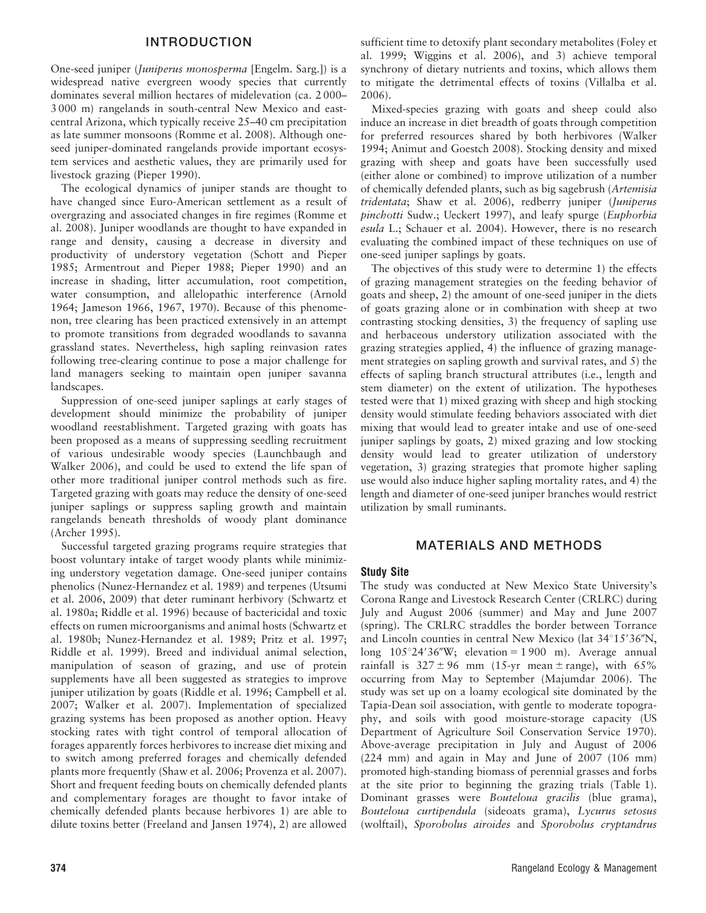# INTRODUCTION

One-seed juniper (Juniperus monosperma [Engelm. Sarg.]) is a widespread native evergreen woody species that currently dominates several million hectares of midelevation (ca. 2 000– 3 000 m) rangelands in south-central New Mexico and eastcentral Arizona, which typically receive 25–40 cm precipitation as late summer monsoons (Romme et al. 2008). Although oneseed juniper-dominated rangelands provide important ecosystem services and aesthetic values, they are primarily used for livestock grazing (Pieper 1990).

The ecological dynamics of juniper stands are thought to have changed since Euro-American settlement as a result of overgrazing and associated changes in fire regimes (Romme et al. 2008). Juniper woodlands are thought to have expanded in range and density, causing a decrease in diversity and productivity of understory vegetation (Schott and Pieper 1985; Armentrout and Pieper 1988; Pieper 1990) and an increase in shading, litter accumulation, root competition, water consumption, and allelopathic interference (Arnold 1964; Jameson 1966, 1967, 1970). Because of this phenomenon, tree clearing has been practiced extensively in an attempt to promote transitions from degraded woodlands to savanna grassland states. Nevertheless, high sapling reinvasion rates following tree-clearing continue to pose a major challenge for land managers seeking to maintain open juniper savanna landscapes.

Suppression of one-seed juniper saplings at early stages of development should minimize the probability of juniper woodland reestablishment. Targeted grazing with goats has been proposed as a means of suppressing seedling recruitment of various undesirable woody species (Launchbaugh and Walker 2006), and could be used to extend the life span of other more traditional juniper control methods such as fire. Targeted grazing with goats may reduce the density of one-seed juniper saplings or suppress sapling growth and maintain rangelands beneath thresholds of woody plant dominance (Archer 1995).

Successful targeted grazing programs require strategies that boost voluntary intake of target woody plants while minimizing understory vegetation damage. One-seed juniper contains phenolics (Nunez-Hernandez et al. 1989) and terpenes (Utsumi et al. 2006, 2009) that deter ruminant herbivory (Schwartz et al. 1980a; Riddle et al. 1996) because of bactericidal and toxic effects on rumen microorganisms and animal hosts (Schwartz et al. 1980b; Nunez-Hernandez et al. 1989; Pritz et al. 1997; Riddle et al. 1999). Breed and individual animal selection, manipulation of season of grazing, and use of protein supplements have all been suggested as strategies to improve juniper utilization by goats (Riddle et al. 1996; Campbell et al. 2007; Walker et al. 2007). Implementation of specialized grazing systems has been proposed as another option. Heavy stocking rates with tight control of temporal allocation of forages apparently forces herbivores to increase diet mixing and to switch among preferred forages and chemically defended plants more frequently (Shaw et al. 2006; Provenza et al. 2007). Short and frequent feeding bouts on chemically defended plants and complementary forages are thought to favor intake of chemically defended plants because herbivores 1) are able to dilute toxins better (Freeland and Jansen 1974), 2) are allowed

sufficient time to detoxify plant secondary metabolites (Foley et al. 1999; Wiggins et al. 2006), and 3) achieve temporal synchrony of dietary nutrients and toxins, which allows them to mitigate the detrimental effects of toxins (Villalba et al. 2006).

Mixed-species grazing with goats and sheep could also induce an increase in diet breadth of goats through competition for preferred resources shared by both herbivores (Walker 1994; Animut and Goestch 2008). Stocking density and mixed grazing with sheep and goats have been successfully used (either alone or combined) to improve utilization of a number of chemically defended plants, such as big sagebrush (Artemisia tridentata; Shaw et al. 2006), redberry juniper (Juniperus pinchotti Sudw.; Ueckert 1997), and leafy spurge (Euphorbia esula L.; Schauer et al. 2004). However, there is no research evaluating the combined impact of these techniques on use of one-seed juniper saplings by goats.

The objectives of this study were to determine 1) the effects of grazing management strategies on the feeding behavior of goats and sheep, 2) the amount of one-seed juniper in the diets of goats grazing alone or in combination with sheep at two contrasting stocking densities, 3) the frequency of sapling use and herbaceous understory utilization associated with the grazing strategies applied, 4) the influence of grazing management strategies on sapling growth and survival rates, and 5) the effects of sapling branch structural attributes (i.e., length and stem diameter) on the extent of utilization. The hypotheses tested were that 1) mixed grazing with sheep and high stocking density would stimulate feeding behaviors associated with diet mixing that would lead to greater intake and use of one-seed juniper saplings by goats, 2) mixed grazing and low stocking density would lead to greater utilization of understory vegetation, 3) grazing strategies that promote higher sapling use would also induce higher sapling mortality rates, and 4) the length and diameter of one-seed juniper branches would restrict utilization by small ruminants.

# MATERIALS AND METHODS

### Study Site

The study was conducted at New Mexico State University's Corona Range and Livestock Research Center (CRLRC) during July and August 2006 (summer) and May and June 2007 (spring). The CRLRC straddles the border between Torrance and Lincoln counties in central New Mexico (lat  $34^{\circ}15'36''N$ , long  $105^{\circ}24'36''W$ ; elevation = 1900 m). Average annual rainfall is  $327 \pm 96$  mm (15-yr mean  $\pm$  range), with 65% occurring from May to September (Majumdar 2006). The study was set up on a loamy ecological site dominated by the Tapia-Dean soil association, with gentle to moderate topography, and soils with good moisture-storage capacity (US Department of Agriculture Soil Conservation Service 1970). Above-average precipitation in July and August of 2006 (224 mm) and again in May and June of 2007 (106 mm) promoted high-standing biomass of perennial grasses and forbs at the site prior to beginning the grazing trials (Table 1). Dominant grasses were Bouteloua gracilis (blue grama), Bouteloua curtipendula (sideoats grama), Lycurus setosus (wolftail), Sporobolus airoides and Sporobolus cryptandrus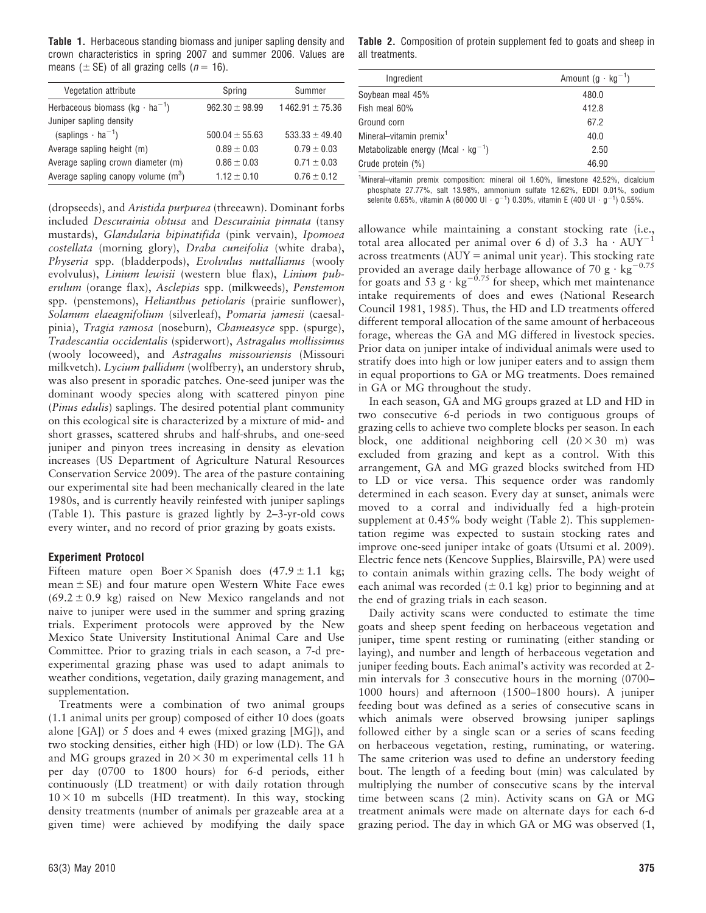Table 1. Herbaceous standing biomass and juniper sapling density and crown characteristics in spring 2007 and summer 2006. Values are means ( $\pm$  SE) of all grazing cells ( $n = 16$ ).

| Vegetation attribute                              | Spring             | Summer              |
|---------------------------------------------------|--------------------|---------------------|
| Herbaceous biomass (kg $\cdot$ ha <sup>-1</sup> ) | $962.30 \pm 98.99$ | $1462.91 \pm 75.36$ |
| Juniper sapling density                           |                    |                     |
| $(saplings \cdot ha^{-1})$                        | $500.04 \pm 55.63$ | $533.33 \pm 49.40$  |
| Average sapling height (m)                        | $0.89 \pm 0.03$    | $0.79 \pm 0.03$     |
| Average sapling crown diameter (m)                | $0.86 \pm 0.03$    | $0.71 \pm 0.03$     |
| Average sapling canopy volume $(m^3)$             | $1.12 + 0.10$      | $0.76 \pm 0.12$     |

(dropseeds), and Aristida purpurea (threeawn). Dominant forbs included Descurainia obtusa and Descurainia pinnata (tansy mustards), Glandularia bipinatifida (pink vervain), Ipomoea costellata (morning glory), Draba cuneifolia (white draba), Physeria spp. (bladderpods), Evolvulus nuttallianus (wooly evolvulus), Linium lewisii (western blue flax), Linium puberulum (orange flax), Asclepias spp. (milkweeds), Penstemon spp. (penstemons), Helianthus petiolaris (prairie sunflower), Solanum elaeagnifolium (silverleaf), Pomaria jamesii (caesalpinia), Tragia ramosa (noseburn), Chameasyce spp. (spurge), Tradescantia occidentalis (spiderwort), Astragalus mollissimus (wooly locoweed), and Astragalus missouriensis (Missouri milkvetch). Lycium pallidum (wolfberry), an understory shrub, was also present in sporadic patches. One-seed juniper was the dominant woody species along with scattered pinyon pine (Pinus edulis) saplings. The desired potential plant community on this ecological site is characterized by a mixture of mid- and short grasses, scattered shrubs and half-shrubs, and one-seed juniper and pinyon trees increasing in density as elevation increases (US Department of Agriculture Natural Resources Conservation Service 2009). The area of the pasture containing our experimental site had been mechanically cleared in the late 1980s, and is currently heavily reinfested with juniper saplings (Table 1). This pasture is grazed lightly by 2–3-yr-old cows every winter, and no record of prior grazing by goats exists.

### Experiment Protocol

Fifteen mature open Boer  $\times$  Spanish does (47.9  $\pm$  1.1 kg; mean  $\pm$  SE) and four mature open Western White Face ewes  $(69.2 \pm 0.9 \text{ kg})$  raised on New Mexico rangelands and not naive to juniper were used in the summer and spring grazing trials. Experiment protocols were approved by the New Mexico State University Institutional Animal Care and Use Committee. Prior to grazing trials in each season, a 7-d preexperimental grazing phase was used to adapt animals to weather conditions, vegetation, daily grazing management, and supplementation.

Treatments were a combination of two animal groups (1.1 animal units per group) composed of either 10 does (goats alone [GA]) or 5 does and 4 ewes (mixed grazing [MG]), and two stocking densities, either high (HD) or low (LD). The GA and MG groups grazed in  $20 \times 30$  m experimental cells 11 h per day (0700 to 1800 hours) for 6-d periods, either continuously (LD treatment) or with daily rotation through  $10 \times 10$  m subcells (HD treatment). In this way, stocking density treatments (number of animals per grazeable area at a given time) were achieved by modifying the daily space

Table 2. Composition of protein supplement fed to goats and sheep in all treatments.

| Ingredient                                            | Amount $(g \cdot kg^{-1})$ |
|-------------------------------------------------------|----------------------------|
| Soybean meal 45%                                      | 480.0                      |
| Fish meal 60%                                         | 412.8                      |
| Ground corn                                           | 67.2                       |
| Mineral-vitamin premix <sup>1</sup>                   | 40.0                       |
| Metabolizable energy (Mcal $\cdot$ kg <sup>-1</sup> ) | 2.50                       |
| Crude protein (%)                                     | 46.90                      |
|                                                       |                            |

<sup>1</sup>Mineral–vitamin premix composition: mineral oil 1.60%, limestone 42.52%, dicalcium phosphate 27.77%, salt 13.98%, ammonium sulfate 12.62%, EDDI 0.01%, sodium selenite 0.65%, vitamin A (60 000 UI  $\cdot$  g $^{-1})$  0.30%, vitamin E (400 UI  $\cdot$  g $^{-1})$  0.55%.

allowance while maintaining a constant stocking rate (i.e., total area allocated per animal over 6 d) of 3.3 ha  $\cdot$  AUY<sup>-</sup> across treatments  $(AUY = animal unit year)$ . This stocking rate provided an average daily herbage allowance of 70 g  $\cdot$  kg<sup>-0.75</sup> for goats and 53 g  $\cdot$  kg<sup>-0.75</sup> for sheep, which met maintenance intake requirements of does and ewes (National Research Council 1981, 1985). Thus, the HD and LD treatments offered different temporal allocation of the same amount of herbaceous forage, whereas the GA and MG differed in livestock species. Prior data on juniper intake of individual animals were used to stratify does into high or low juniper eaters and to assign them in equal proportions to GA or MG treatments. Does remained in GA or MG throughout the study.

In each season, GA and MG groups grazed at LD and HD in two consecutive 6-d periods in two contiguous groups of grazing cells to achieve two complete blocks per season. In each block, one additional neighboring cell  $(20 \times 30$  m) was excluded from grazing and kept as a control. With this arrangement, GA and MG grazed blocks switched from HD to LD or vice versa. This sequence order was randomly determined in each season. Every day at sunset, animals were moved to a corral and individually fed a high-protein supplement at 0.45% body weight (Table 2). This supplementation regime was expected to sustain stocking rates and improve one-seed juniper intake of goats (Utsumi et al. 2009). Electric fence nets (Kencove Supplies, Blairsville, PA) were used to contain animals within grazing cells. The body weight of each animal was recorded ( $\pm$  0.1 kg) prior to beginning and at the end of grazing trials in each season.

Daily activity scans were conducted to estimate the time goats and sheep spent feeding on herbaceous vegetation and juniper, time spent resting or ruminating (either standing or laying), and number and length of herbaceous vegetation and juniper feeding bouts. Each animal's activity was recorded at 2 min intervals for 3 consecutive hours in the morning (0700– 1000 hours) and afternoon (1500–1800 hours). A juniper feeding bout was defined as a series of consecutive scans in which animals were observed browsing juniper saplings followed either by a single scan or a series of scans feeding on herbaceous vegetation, resting, ruminating, or watering. The same criterion was used to define an understory feeding bout. The length of a feeding bout (min) was calculated by multiplying the number of consecutive scans by the interval time between scans (2 min). Activity scans on GA or MG treatment animals were made on alternate days for each 6-d grazing period. The day in which GA or MG was observed (1,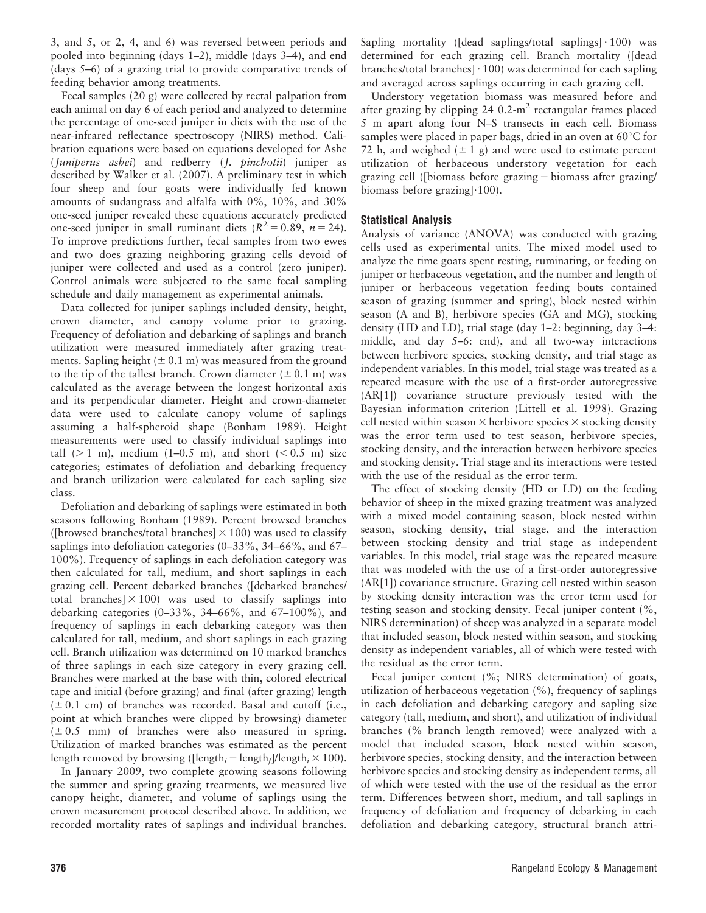3, and 5, or 2, 4, and 6) was reversed between periods and pooled into beginning (days 1–2), middle (days 3–4), and end (days 5–6) of a grazing trial to provide comparative trends of feeding behavior among treatments.

Fecal samples (20 g) were collected by rectal palpation from each animal on day 6 of each period and analyzed to determine the percentage of one-seed juniper in diets with the use of the near-infrared reflectance spectroscopy (NIRS) method. Calibration equations were based on equations developed for Ashe (Juniperus ashei) and redberry (J. pinchotii) juniper as described by Walker et al. (2007). A preliminary test in which four sheep and four goats were individually fed known amounts of sudangrass and alfalfa with 0%, 10%, and 30% one-seed juniper revealed these equations accurately predicted one-seed juniper in small ruminant diets  $(R^2 = 0.89, n = 24)$ . To improve predictions further, fecal samples from two ewes and two does grazing neighboring grazing cells devoid of juniper were collected and used as a control (zero juniper). Control animals were subjected to the same fecal sampling schedule and daily management as experimental animals.

Data collected for juniper saplings included density, height, crown diameter, and canopy volume prior to grazing. Frequency of defoliation and debarking of saplings and branch utilization were measured immediately after grazing treatments. Sapling height ( $\pm$  0.1 m) was measured from the ground to the tip of the tallest branch. Crown diameter  $(\pm 0.1 \text{ m})$  was calculated as the average between the longest horizontal axis and its perpendicular diameter. Height and crown-diameter data were used to calculate canopy volume of saplings assuming a half-spheroid shape (Bonham 1989). Height measurements were used to classify individual saplings into tall  $(> 1 \text{ m})$ , medium  $(1-0.5 \text{ m})$ , and short  $(< 0.5 \text{ m})$  size categories; estimates of defoliation and debarking frequency and branch utilization were calculated for each sapling size class.

Defoliation and debarking of saplings were estimated in both seasons following Bonham (1989). Percent browsed branches ([browsed branches/total branches]  $\times$  100) was used to classify saplings into defoliation categories (0–33%, 34–66%, and 67– 100%). Frequency of saplings in each defoliation category was then calculated for tall, medium, and short saplings in each grazing cell. Percent debarked branches ([debarked branches/ total branches  $\times 100$ ) was used to classify saplings into debarking categories (0–33%, 34–66%, and 67–100%), and frequency of saplings in each debarking category was then calculated for tall, medium, and short saplings in each grazing cell. Branch utilization was determined on 10 marked branches of three saplings in each size category in every grazing cell. Branches were marked at the base with thin, colored electrical tape and initial (before grazing) and final (after grazing) length  $(\pm 0.1 \text{ cm})$  of branches was recorded. Basal and cutoff (i.e., point at which branches were clipped by browsing) diameter  $(\pm 0.5$  mm) of branches were also measured in spring. Utilization of marked branches was estimated as the percent length removed by browsing ([length<sub>i</sub> – length<sub>f</sub>]/length<sub>i</sub>  $\times$  100).

In January 2009, two complete growing seasons following the summer and spring grazing treatments, we measured live canopy height, diameter, and volume of saplings using the crown measurement protocol described above. In addition, we recorded mortality rates of saplings and individual branches.

Sapling mortality ( $\lceil \text{dead} \rceil$  saplings/total saplings $\lceil \cdot 100 \rceil$  was determined for each grazing cell. Branch mortality ([dead branches/total branches $\cdot$  100) was determined for each sapling and averaged across saplings occurring in each grazing cell.

Understory vegetation biomass was measured before and after grazing by clipping 24  $0.2\text{-m}^2$  rectangular frames placed 5 m apart along four N–S transects in each cell. Biomass samples were placed in paper bags, dried in an oven at  $60^{\circ}$ C for 72 h, and weighed  $(\pm 1$  g) and were used to estimate percent utilization of herbaceous understory vegetation for each grazing cell ([biomass before grazing 2 biomass after grazing/ biomass before grazing] $\cdot$ 100).

# Statistical Analysis

Analysis of variance (ANOVA) was conducted with grazing cells used as experimental units. The mixed model used to analyze the time goats spent resting, ruminating, or feeding on juniper or herbaceous vegetation, and the number and length of juniper or herbaceous vegetation feeding bouts contained season of grazing (summer and spring), block nested within season (A and B), herbivore species (GA and MG), stocking density (HD and LD), trial stage (day 1–2: beginning, day 3–4: middle, and day 5–6: end), and all two-way interactions between herbivore species, stocking density, and trial stage as independent variables. In this model, trial stage was treated as a repeated measure with the use of a first-order autoregressive (AR[1]) covariance structure previously tested with the Bayesian information criterion (Littell et al. 1998). Grazing cell nested within season  $\times$  herbivore species  $\times$  stocking density was the error term used to test season, herbivore species, stocking density, and the interaction between herbivore species and stocking density. Trial stage and its interactions were tested with the use of the residual as the error term.

The effect of stocking density (HD or LD) on the feeding behavior of sheep in the mixed grazing treatment was analyzed with a mixed model containing season, block nested within season, stocking density, trial stage, and the interaction between stocking density and trial stage as independent variables. In this model, trial stage was the repeated measure that was modeled with the use of a first-order autoregressive (AR[1]) covariance structure. Grazing cell nested within season by stocking density interaction was the error term used for testing season and stocking density. Fecal juniper content (%, NIRS determination) of sheep was analyzed in a separate model that included season, block nested within season, and stocking density as independent variables, all of which were tested with the residual as the error term.

Fecal juniper content (%; NIRS determination) of goats, utilization of herbaceous vegetation (%), frequency of saplings in each defoliation and debarking category and sapling size category (tall, medium, and short), and utilization of individual branches (% branch length removed) were analyzed with a model that included season, block nested within season, herbivore species, stocking density, and the interaction between herbivore species and stocking density as independent terms, all of which were tested with the use of the residual as the error term. Differences between short, medium, and tall saplings in frequency of defoliation and frequency of debarking in each defoliation and debarking category, structural branch attri-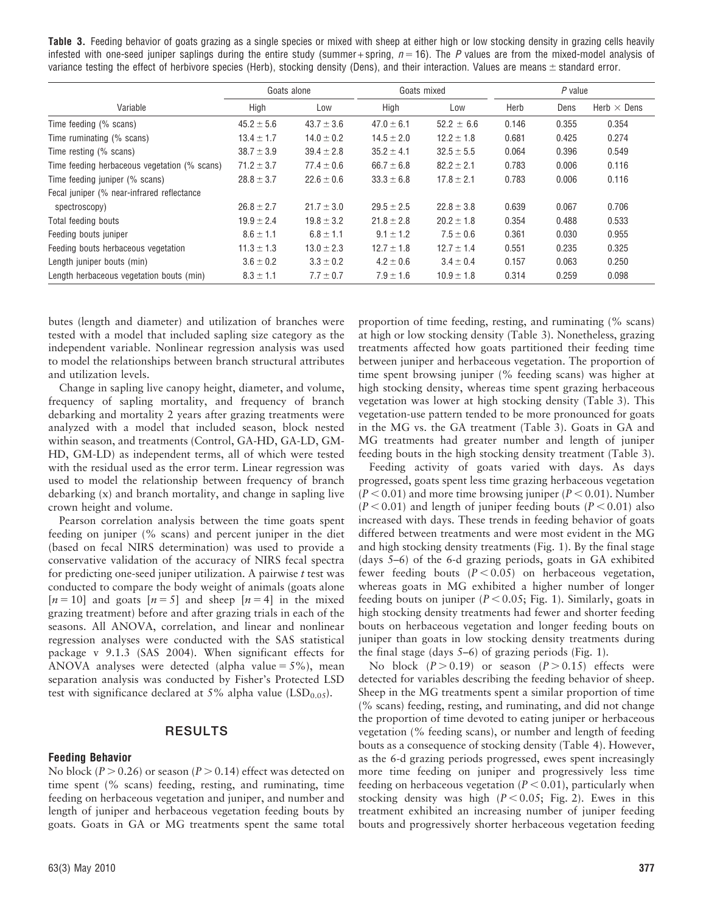Table 3. Feeding behavior of goats grazing as a single species or mixed with sheep at either high or low stocking density in grazing cells heavily infested with one-seed juniper saplings during the entire study (summer + spring,  $n = 16$ ). The P values are from the mixed-model analysis of variance testing the effect of herbivore species (Herb), stocking density (Dens), and their interaction. Values are means  $\pm$  standard error.

|                                              | Goats alone    |                | Goats mixed    |                | $P$ value |       |                    |
|----------------------------------------------|----------------|----------------|----------------|----------------|-----------|-------|--------------------|
| Variable                                     | High           | Low            | High           | Low            | Herb      | Dens  | Herb $\times$ Dens |
| Time feeding (% scans)                       | $45.2 \pm 5.6$ | $43.7 \pm 3.6$ | $47.0 \pm 6.1$ | $52.2 \pm 6.6$ | 0.146     | 0.355 | 0.354              |
| Time ruminating (% scans)                    | $13.4 \pm 1.7$ | $14.0 \pm 0.2$ | $14.5 \pm 2.0$ | $12.2 \pm 1.8$ | 0.681     | 0.425 | 0.274              |
| Time resting (% scans)                       | $38.7 \pm 3.9$ | $39.4 \pm 2.8$ | $35.2 \pm 4.1$ | $32.5 \pm 5.5$ | 0.064     | 0.396 | 0.549              |
| Time feeding herbaceous vegetation (% scans) | $71.2 \pm 3.7$ | $77.4 \pm 0.6$ | $66.7 \pm 6.8$ | $82.2 \pm 2.1$ | 0.783     | 0.006 | 0.116              |
| Time feeding juniper (% scans)               | $28.8 \pm 3.7$ | $22.6 \pm 0.6$ | $33.3 \pm 6.8$ | $17.8 \pm 2.1$ | 0.783     | 0.006 | 0.116              |
| Fecal juniper (% near-infrared reflectance   |                |                |                |                |           |       |                    |
| spectroscopy)                                | $26.8 \pm 2.7$ | $21.7 \pm 3.0$ | $29.5 \pm 2.5$ | $22.8 \pm 3.8$ | 0.639     | 0.067 | 0.706              |
| Total feeding bouts                          | $19.9 \pm 2.4$ | $19.8 \pm 3.2$ | $21.8 \pm 2.8$ | $20.2 \pm 1.8$ | 0.354     | 0.488 | 0.533              |
| Feeding bouts juniper                        | $8.6 \pm 1.1$  | $6.8 \pm 1.1$  | $9.1 \pm 1.2$  | $7.5 \pm 0.6$  | 0.361     | 0.030 | 0.955              |
| Feeding bouts herbaceous vegetation          | $11.3 \pm 1.3$ | $13.0 \pm 2.3$ | $12.7 \pm 1.8$ | $12.7 \pm 1.4$ | 0.551     | 0.235 | 0.325              |
| Length juniper bouts (min)                   | $3.6 \pm 0.2$  | $3.3 \pm 0.2$  | $4.2 \pm 0.6$  | $3.4 \pm 0.4$  | 0.157     | 0.063 | 0.250              |
| Length herbaceous vegetation bouts (min)     | $8.3 \pm 1.1$  | $7.7 \pm 0.7$  | $7.9 \pm 1.6$  | $10.9 \pm 1.8$ | 0.314     | 0.259 | 0.098              |

butes (length and diameter) and utilization of branches were tested with a model that included sapling size category as the independent variable. Nonlinear regression analysis was used to model the relationships between branch structural attributes and utilization levels.

Change in sapling live canopy height, diameter, and volume, frequency of sapling mortality, and frequency of branch debarking and mortality 2 years after grazing treatments were analyzed with a model that included season, block nested within season, and treatments (Control, GA-HD, GA-LD, GM-HD, GM-LD) as independent terms, all of which were tested with the residual used as the error term. Linear regression was used to model the relationship between frequency of branch debarking (x) and branch mortality, and change in sapling live crown height and volume.

Pearson correlation analysis between the time goats spent feeding on juniper (% scans) and percent juniper in the diet (based on fecal NIRS determination) was used to provide a conservative validation of the accuracy of NIRS fecal spectra for predicting one-seed juniper utilization. A pairwise  $t$  test was conducted to compare the body weight of animals (goats alone  $[n = 10]$  and goats  $[n = 5]$  and sheep  $[n = 4]$  in the mixed grazing treatment) before and after grazing trials in each of the seasons. All ANOVA, correlation, and linear and nonlinear regression analyses were conducted with the SAS statistical package v 9.1.3 (SAS 2004). When significant effects for ANOVA analyses were detected (alpha value =  $5\%$ ), mean separation analysis was conducted by Fisher's Protected LSD test with significance declared at 5% alpha value  $(LSD<sub>0.05</sub>)$ .

# RESULTS

#### Feeding Behavior

No block ( $P > 0.26$ ) or season ( $P > 0.14$ ) effect was detected on time spent (% scans) feeding, resting, and ruminating, time feeding on herbaceous vegetation and juniper, and number and length of juniper and herbaceous vegetation feeding bouts by goats. Goats in GA or MG treatments spent the same total

proportion of time feeding, resting, and ruminating (% scans) at high or low stocking density (Table 3). Nonetheless, grazing treatments affected how goats partitioned their feeding time between juniper and herbaceous vegetation. The proportion of time spent browsing juniper (% feeding scans) was higher at high stocking density, whereas time spent grazing herbaceous vegetation was lower at high stocking density (Table 3). This vegetation-use pattern tended to be more pronounced for goats in the MG vs. the GA treatment (Table 3). Goats in GA and MG treatments had greater number and length of juniper feeding bouts in the high stocking density treatment (Table 3).

Feeding activity of goats varied with days. As days progressed, goats spent less time grazing herbaceous vegetation  $(P < 0.01)$  and more time browsing juniper ( $P < 0.01$ ). Number  $(P < 0.01)$  and length of juniper feeding bouts  $(P < 0.01)$  also increased with days. These trends in feeding behavior of goats differed between treatments and were most evident in the MG and high stocking density treatments (Fig. 1). By the final stage (days 5–6) of the 6-d grazing periods, goats in GA exhibited fewer feeding bouts  $(P < 0.05)$  on herbaceous vegetation, whereas goats in MG exhibited a higher number of longer feeding bouts on juniper ( $P < 0.05$ ; Fig. 1). Similarly, goats in high stocking density treatments had fewer and shorter feeding bouts on herbaceous vegetation and longer feeding bouts on juniper than goats in low stocking density treatments during the final stage (days 5–6) of grazing periods (Fig. 1).

No block  $(P > 0.19)$  or season  $(P > 0.15)$  effects were detected for variables describing the feeding behavior of sheep. Sheep in the MG treatments spent a similar proportion of time (% scans) feeding, resting, and ruminating, and did not change the proportion of time devoted to eating juniper or herbaceous vegetation (% feeding scans), or number and length of feeding bouts as a consequence of stocking density (Table 4). However, as the 6-d grazing periods progressed, ewes spent increasingly more time feeding on juniper and progressively less time feeding on herbaceous vegetation ( $P < 0.01$ ), particularly when stocking density was high ( $P < 0.05$ ; Fig. 2). Ewes in this treatment exhibited an increasing number of juniper feeding bouts and progressively shorter herbaceous vegetation feeding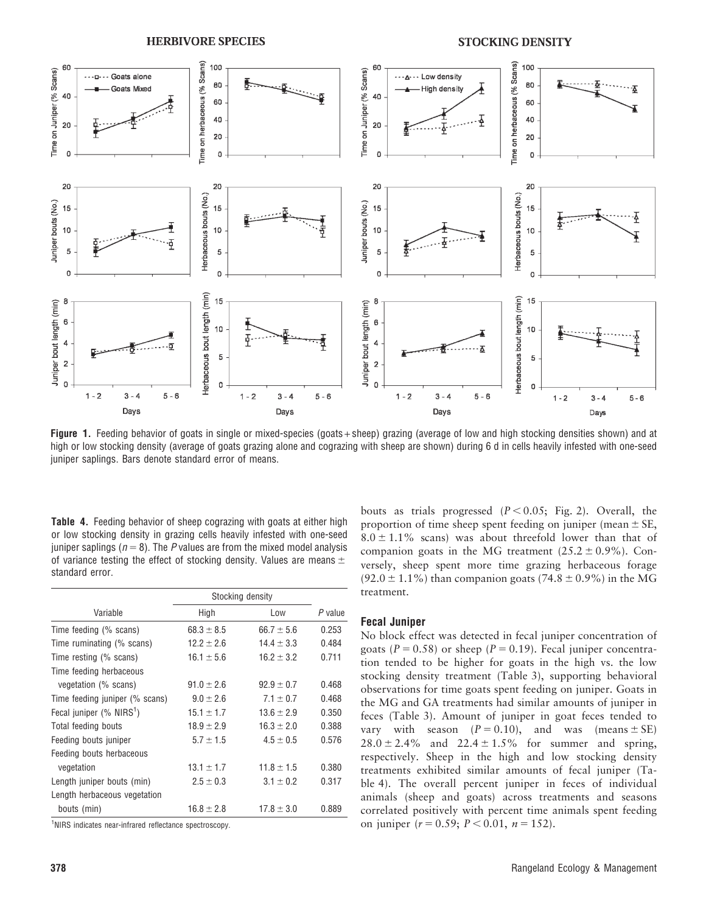**HERBIVORE SPECIES** 

#### **STOCKING DENSITY**



Figure 1. Feeding behavior of goats in single or mixed-species (goats + sheep) grazing (average of low and high stocking densities shown) and at high or low stocking density (average of goats grazing alone and cograzing with sheep are shown) during 6 d in cells heavily infested with one-seed juniper saplings. Bars denote standard error of means.

Table 4. Feeding behavior of sheep cograzing with goats at either high or low stocking density in grazing cells heavily infested with one-seed juniper saplings ( $n = 8$ ). The P values are from the mixed model analysis of variance testing the effect of stocking density. Values are means  $\pm$ standard error.

|                                                        |                | Stocking density |         |  |  |
|--------------------------------------------------------|----------------|------------------|---------|--|--|
| Variable                                               | High           | Low              | P value |  |  |
| Time feeding (% scans)                                 | $68.3 \pm 8.5$ | $66.7 \pm 5.6$   | 0.253   |  |  |
| Time ruminating (% scans)                              | $12.2 \pm 2.6$ | $14.4 \pm 3.3$   | 0.484   |  |  |
| Time resting (% scans)                                 | $16.1 \pm 5.6$ | $16.2 \pm 3.2$   | 0.711   |  |  |
| Time feeding herbaceous                                |                |                  |         |  |  |
| vegetation (% scans)                                   | $91.0 \pm 2.6$ | $92.9 \pm 0.7$   | 0.468   |  |  |
| Time feeding juniper (% scans)                         | $9.0 \pm 2.6$  | $7.1 \pm 0.7$    | 0.468   |  |  |
| Fecal juniper $(\% \text{ NIRS}^1)$                    | $15.1 \pm 1.7$ | $13.6 \pm 2.9$   | 0.350   |  |  |
| Total feeding bouts                                    | $18.9 \pm 2.9$ | $16.3 \pm 2.0$   | 0.388   |  |  |
| Feeding bouts juniper                                  | $5.7 \pm 1.5$  | $4.5 \pm 0.5$    | 0.576   |  |  |
| Feeding bouts herbaceous                               |                |                  |         |  |  |
| vegetation                                             | $13.1 \pm 1.7$ | $11.8 \pm 1.5$   | 0.380   |  |  |
| Length juniper bouts (min)                             | $2.5 \pm 0.3$  | $3.1 \pm 0.2$    | 0.317   |  |  |
| Length herbaceous vegetation                           |                |                  |         |  |  |
| bouts (min)                                            | $16.8 \pm 2.8$ | $17.8 \pm 3.0$   | 0.889   |  |  |
| INIDO indicates near infrared reflectance apostroscopy |                |                  |         |  |  |

<sup>1</sup>NIRS indicates near-infrared reflectance spectroscopy.

bouts as trials progressed  $(P < 0.05$ ; Fig. 2). Overall, the proportion of time sheep spent feeding on juniper (mean  $\pm$  SE,  $8.0 \pm 1.1\%$  scans) was about threefold lower than that of companion goats in the MG treatment  $(25.2 \pm 0.9\%)$ . Conversely, sheep spent more time grazing herbaceous forage  $(92.0 \pm 1.1\%)$  than companion goats (74.8  $\pm$  0.9%) in the MG treatment.

#### Fecal Juniper

No block effect was detected in fecal juniper concentration of goats ( $P = 0.58$ ) or sheep ( $P = 0.19$ ). Fecal juniper concentration tended to be higher for goats in the high vs. the low stocking density treatment (Table 3), supporting behavioral observations for time goats spent feeding on juniper. Goats in the MG and GA treatments had similar amounts of juniper in feces (Table 3). Amount of juniper in goat feces tended to vary with season  $(P = 0.10)$ , and was (means  $\pm$  SE)  $28.0 \pm 2.4\%$  and  $22.4 \pm 1.5\%$  for summer and spring, respectively. Sheep in the high and low stocking density treatments exhibited similar amounts of fecal juniper (Table 4). The overall percent juniper in feces of individual animals (sheep and goats) across treatments and seasons correlated positively with percent time animals spent feeding on juniper ( $r = 0.59$ ;  $P < 0.01$ ,  $n = 152$ ).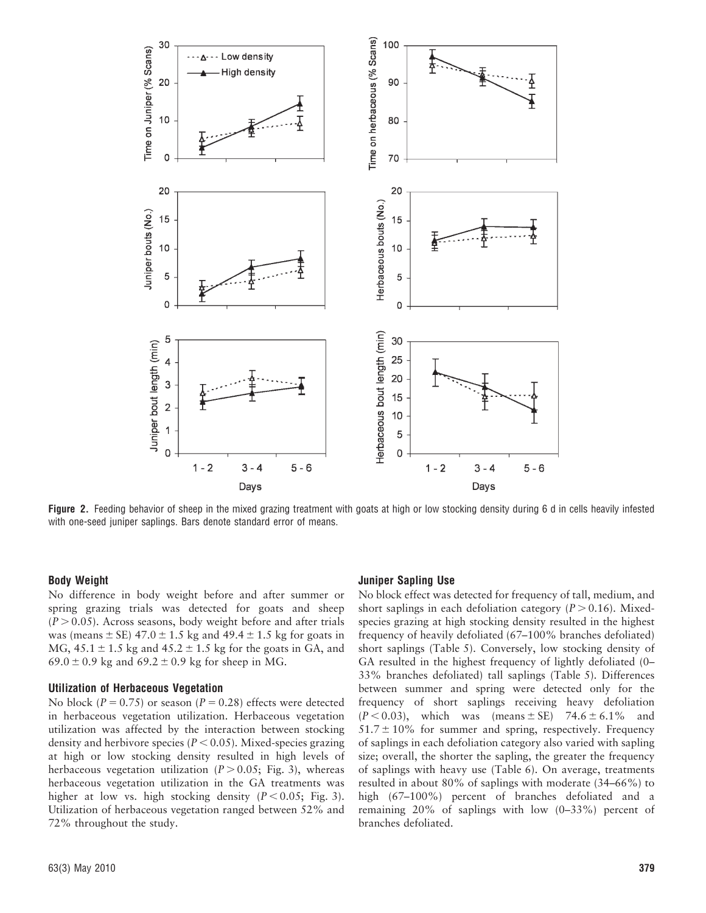

Figure 2. Feeding behavior of sheep in the mixed grazing treatment with goats at high or low stocking density during 6 d in cells heavily infested with one-seed juniper saplings. Bars denote standard error of means.

#### Body Weight

No difference in body weight before and after summer or spring grazing trials was detected for goats and sheep  $(P > 0.05)$ . Across seasons, body weight before and after trials was (means  $\pm$  SE) 47.0  $\pm$  1.5 kg and 49.4  $\pm$  1.5 kg for goats in MG,  $45.1 \pm 1.5$  kg and  $45.2 \pm 1.5$  kg for the goats in GA, and 69.0  $\pm$  0.9 kg and 69.2  $\pm$  0.9 kg for sheep in MG.

#### Utilization of Herbaceous Vegetation

No block ( $P = 0.75$ ) or season ( $P = 0.28$ ) effects were detected in herbaceous vegetation utilization. Herbaceous vegetation utilization was affected by the interaction between stocking density and herbivore species ( $P < 0.05$ ). Mixed-species grazing at high or low stocking density resulted in high levels of herbaceous vegetation utilization ( $P > 0.05$ ; Fig. 3), whereas herbaceous vegetation utilization in the GA treatments was higher at low vs. high stocking density  $(P < 0.05$ ; Fig. 3). Utilization of herbaceous vegetation ranged between 52% and 72% throughout the study.

#### Juniper Sapling Use

No block effect was detected for frequency of tall, medium, and short saplings in each defoliation category ( $P > 0.16$ ). Mixedspecies grazing at high stocking density resulted in the highest frequency of heavily defoliated (67–100% branches defoliated) short saplings (Table 5). Conversely, low stocking density of GA resulted in the highest frequency of lightly defoliated (0– 33% branches defoliated) tall saplings (Table 5). Differences between summer and spring were detected only for the frequency of short saplings receiving heavy defoliation  $(P < 0.03)$ , which was (means ± SE) 74.6 ± 6.1% and  $51.7 \pm 10\%$  for summer and spring, respectively. Frequency of saplings in each defoliation category also varied with sapling size; overall, the shorter the sapling, the greater the frequency of saplings with heavy use (Table 6). On average, treatments resulted in about 80% of saplings with moderate (34–66%) to high (67–100%) percent of branches defoliated and a remaining 20% of saplings with low (0–33%) percent of branches defoliated.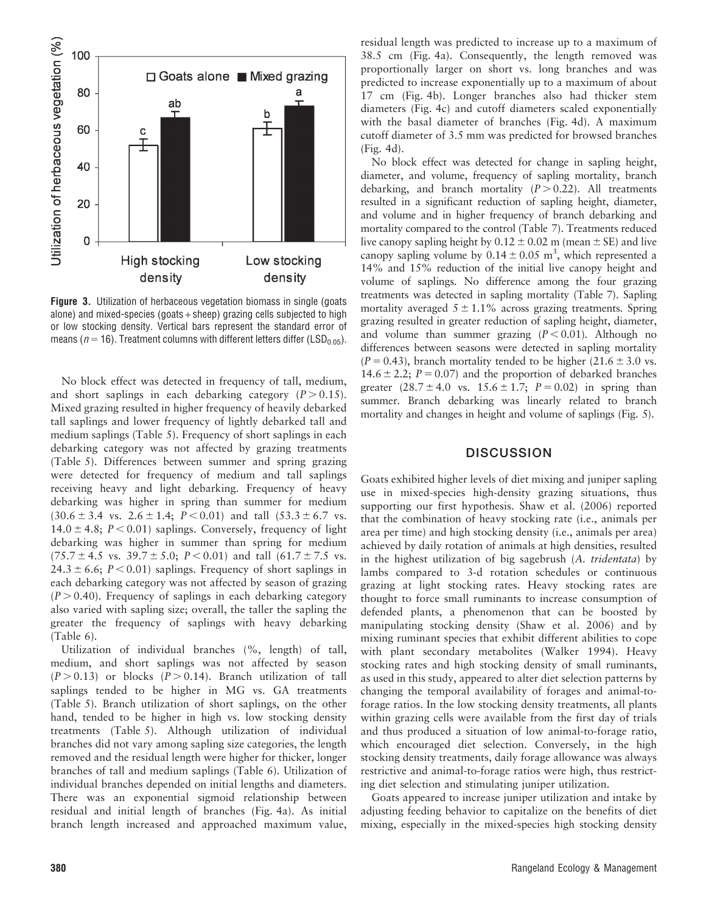

**Figure 3.** Utilization of herbaceous vegetation biomass in single (goats alone) and mixed-species (goats  $+$  sheep) grazing cells subjected to high or low stocking density. Vertical bars represent the standard error of means ( $n = 16$ ). Treatment columns with different letters differ (LSD<sub>0.05</sub>).

No block effect was detected in frequency of tall, medium, and short saplings in each debarking category  $(P > 0.15)$ . Mixed grazing resulted in higher frequency of heavily debarked tall saplings and lower frequency of lightly debarked tall and medium saplings (Table 5). Frequency of short saplings in each debarking category was not affected by grazing treatments (Table 5). Differences between summer and spring grazing were detected for frequency of medium and tall saplings receiving heavy and light debarking. Frequency of heavy debarking was higher in spring than summer for medium  $(30.6 \pm 3.4 \text{ vs. } 2.6 \pm 1.4; P < 0.01)$  and tall  $(53.3 \pm 6.7 \text{ vs. } 1.4)$  $14.0 \pm 4.8$ ;  $P < 0.01$ ) saplings. Conversely, frequency of light debarking was higher in summer than spring for medium  $(75.7 \pm 4.5 \text{ vs. } 39.7 \pm 5.0; P < 0.01)$  and tall  $(61.7 \pm 7.5 \text{ vs. } 1.5)$  $24.3 \pm 6.6$ ;  $P < 0.01$ ) saplings. Frequency of short saplings in each debarking category was not affected by season of grazing  $(P > 0.40)$ . Frequency of saplings in each debarking category also varied with sapling size; overall, the taller the sapling the greater the frequency of saplings with heavy debarking (Table 6).

Utilization of individual branches (%, length) of tall, medium, and short saplings was not affected by season  $(P > 0.13)$  or blocks  $(P > 0.14)$ . Branch utilization of tall saplings tended to be higher in MG vs. GA treatments (Table 5). Branch utilization of short saplings, on the other hand, tended to be higher in high vs. low stocking density treatments (Table 5). Although utilization of individual branches did not vary among sapling size categories, the length removed and the residual length were higher for thicker, longer branches of tall and medium saplings (Table 6). Utilization of individual branches depended on initial lengths and diameters. There was an exponential sigmoid relationship between residual and initial length of branches (Fig. 4a). As initial branch length increased and approached maximum value,

residual length was predicted to increase up to a maximum of 38.5 cm (Fig. 4a). Consequently, the length removed was proportionally larger on short vs. long branches and was predicted to increase exponentially up to a maximum of about 17 cm (Fig. 4b). Longer branches also had thicker stem diameters (Fig. 4c) and cutoff diameters scaled exponentially with the basal diameter of branches (Fig. 4d). A maximum cutoff diameter of 3.5 mm was predicted for browsed branches (Fig. 4d).

No block effect was detected for change in sapling height, diameter, and volume, frequency of sapling mortality, branch debarking, and branch mortality  $(P > 0.22)$ . All treatments resulted in a significant reduction of sapling height, diameter, and volume and in higher frequency of branch debarking and mortality compared to the control (Table 7). Treatments reduced live canopy sapling height by  $0.12 \pm 0.02$  m (mean  $\pm$  SE) and live canopy sapling volume by  $0.14 \pm 0.05$  m<sup>3</sup>, which represented a 14% and 15% reduction of the initial live canopy height and volume of saplings. No difference among the four grazing treatments was detected in sapling mortality (Table 7). Sapling mortality averaged  $5 \pm 1.1\%$  across grazing treatments. Spring grazing resulted in greater reduction of sapling height, diameter, and volume than summer grazing  $(P < 0.01)$ . Although no differences between seasons were detected in sapling mortality  $(P = 0.43)$ , branch mortality tended to be higher  $(21.6 \pm 3.0 \text{ vs.})$ 14.6  $\pm$  2.2; P = 0.07) and the proportion of debarked branches greater  $(28.7 \pm 4.0 \text{ vs. } 15.6 \pm 1.7; P = 0.02)$  in spring than summer. Branch debarking was linearly related to branch mortality and changes in height and volume of saplings (Fig. 5).

#### **DISCUSSION**

Goats exhibited higher levels of diet mixing and juniper sapling use in mixed-species high-density grazing situations, thus supporting our first hypothesis. Shaw et al. (2006) reported that the combination of heavy stocking rate (i.e., animals per area per time) and high stocking density (i.e., animals per area) achieved by daily rotation of animals at high densities, resulted in the highest utilization of big sagebrush (A. tridentata) by lambs compared to 3-d rotation schedules or continuous grazing at light stocking rates. Heavy stocking rates are thought to force small ruminants to increase consumption of defended plants, a phenomenon that can be boosted by manipulating stocking density (Shaw et al. 2006) and by mixing ruminant species that exhibit different abilities to cope with plant secondary metabolites (Walker 1994). Heavy stocking rates and high stocking density of small ruminants, as used in this study, appeared to alter diet selection patterns by changing the temporal availability of forages and animal-toforage ratios. In the low stocking density treatments, all plants within grazing cells were available from the first day of trials and thus produced a situation of low animal-to-forage ratio, which encouraged diet selection. Conversely, in the high stocking density treatments, daily forage allowance was always restrictive and animal-to-forage ratios were high, thus restricting diet selection and stimulating juniper utilization.

Goats appeared to increase juniper utilization and intake by adjusting feeding behavior to capitalize on the benefits of diet mixing, especially in the mixed-species high stocking density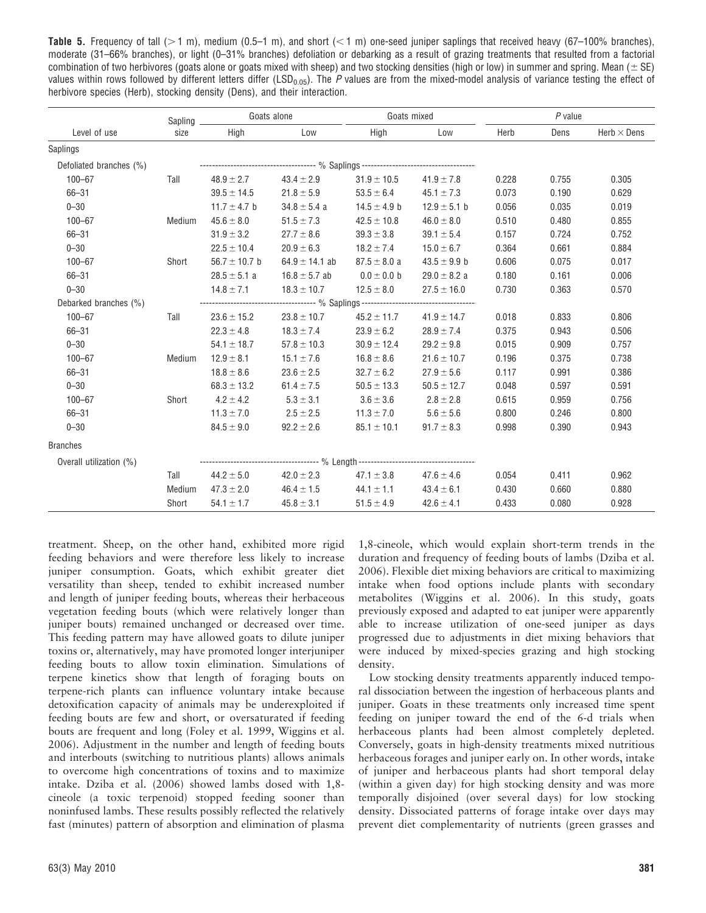**Table 5.** Frequency of tall ( $>1$  m), medium (0.5–1 m), and short ( $< 1$  m) one-seed juniper saplings that received heavy (67–100% branches), moderate (31–66% branches), or light (0–31% branches) defoliation or debarking as a result of grazing treatments that resulted from a factorial combination of two herbivores (goats alone or goats mixed with sheep) and two stocking densities (high or low) in summer and spring. Mean ( $\pm$  SE) values within rows followed by different letters differ (LSD<sub>0.05</sub>). The P values are from the mixed-model analysis of variance testing the effect of herbivore species (Herb), stocking density (Dens), and their interaction.

|                         | Sapling | Goats alone       |                                                                                   | Goats mixed      |                  | $P$ value |       |                    |
|-------------------------|---------|-------------------|-----------------------------------------------------------------------------------|------------------|------------------|-----------|-------|--------------------|
| Level of use            | size    | High              | Low                                                                               | High             | Low              | Herb      | Dens  | Herb $\times$ Dens |
| Saplings                |         |                   |                                                                                   |                  |                  |           |       |                    |
| Defoliated branches (%) |         |                   |                                                                                   |                  |                  |           |       |                    |
| $100 - 67$              | Tall    | $48.9 \pm 2.7$    | $43.4 \pm 2.9$                                                                    | $31.9 \pm 10.5$  | $41.9 \pm 7.8$   | 0.228     | 0.755 | 0.305              |
| $66 - 31$               |         | $39.5 \pm 14.5$   | $21.8 \pm 5.9$                                                                    | $53.5 \pm 6.4$   | $45.1 \pm 7.3$   | 0.073     | 0.190 | 0.629              |
| $0 - 30$                |         | 11.7 $\pm$ 4.7 b  | $34.8 \pm 5.4$ a                                                                  | $14.5 \pm 4.9$ b | $12.9 \pm 5.1$ b | 0.056     | 0.035 | 0.019              |
| $100 - 67$              | Medium  | $45.6 \pm 8.0$    | $51.5 \pm 7.3$                                                                    | $42.5 \pm 10.8$  | $46.0 \pm 8.0$   | 0.510     | 0.480 | 0.855              |
| $66 - 31$               |         | $31.9 \pm 3.2$    | $27.7 \pm 8.6$                                                                    | $39.3 \pm 3.8$   | $39.1 \pm 5.4$   | 0.157     | 0.724 | 0.752              |
| $0 - 30$                |         | $22.5 \pm 10.4$   | $20.9 \pm 6.3$                                                                    | $18.2 \pm 7.4$   | $15.0 \pm 6.7$   | 0.364     | 0.661 | 0.884              |
| $100 - 67$              | Short   | 56.7 $\pm$ 10.7 b | $64.9 \pm 14.1$ ab                                                                | $87.5 \pm 8.0 a$ | $43.5 \pm 9.9$ b | 0.606     | 0.075 | 0.017              |
| $66 - 31$               |         | $28.5 \pm 5.1$ a  | $16.8 \pm 5.7$ ab                                                                 | $0.0\pm0.0$ b    | $29.0 \pm 8.2$ a | 0.180     | 0.161 | 0.006              |
| $0 - 30$                |         | $14.8 \pm 7.1$    | $18.3 \pm 10.7$                                                                   | $12.5 \pm 8.0$   | $27.5 \pm 16.0$  | 0.730     | 0.363 | 0.570              |
| Debarked branches (%)   |         |                   | ----------------------------------- % Saplings ---------------------------------- |                  |                  |           |       |                    |
| $100 - 67$              | Tall    | $23.6 \pm 15.2$   | $23.8 \pm 10.7$                                                                   | $45.2 \pm 11.7$  | $41.9 \pm 14.7$  | 0.018     | 0.833 | 0.806              |
| $66 - 31$               |         | $22.3 \pm 4.8$    | $18.3 \pm 7.4$                                                                    | $23.9 \pm 6.2$   | $28.9 \pm 7.4$   | 0.375     | 0.943 | 0.506              |
| $0 - 30$                |         | $54.1 \pm 18.7$   | $57.8 \pm 10.3$                                                                   | $30.9 \pm 12.4$  | $29.2 \pm 9.8$   | 0.015     | 0.909 | 0.757              |
| $100 - 67$              | Medium  | $12.9 \pm 8.1$    | $15.1 \pm 7.6$                                                                    | $16.8 \pm 8.6$   | $21.6 \pm 10.7$  | 0.196     | 0.375 | 0.738              |
| $66 - 31$               |         | $18.8 \pm 8.6$    | $23.6 \pm 2.5$                                                                    | $32.7 \pm 6.2$   | $27.9 \pm 5.6$   | 0.117     | 0.991 | 0.386              |
| $0 - 30$                |         | $68.3 \pm 13.2$   | $61.4 \pm 7.5$                                                                    | $50.5 \pm 13.3$  | $50.5 \pm 12.7$  | 0.048     | 0.597 | 0.591              |
| $100 - 67$              | Short   | $4.2 \pm 4.2$     | $5.3 \pm 3.1$                                                                     | $3.6 \pm 3.6$    | $2.8 \pm 2.8$    | 0.615     | 0.959 | 0.756              |
| $66 - 31$               |         | $11.3 \pm 7.0$    | $2.5 \pm 2.5$                                                                     | $11.3 \pm 7.0$   | $5.6 \pm 5.6$    | 0.800     | 0.246 | 0.800              |
| $0 - 30$                |         | $84.5 \pm 9.0$    | $92.2 \pm 2.6$                                                                    | $85.1 \pm 10.1$  | $91.7 \pm 8.3$   | 0.998     | 0.390 | 0.943              |
| <b>Branches</b>         |         |                   |                                                                                   |                  |                  |           |       |                    |
| Overall utilization (%) |         |                   | --------------------------------- %    Length ----------------------------------- |                  |                  |           |       |                    |
|                         | Tall    | $44.2 \pm 5.0$    | $42.0 \pm 2.3$                                                                    | $47.1 \pm 3.8$   | $47.6 \pm 4.6$   | 0.054     | 0.411 | 0.962              |
|                         | Medium  | $47.3 \pm 2.0$    | $46.4 \pm 1.5$                                                                    | $44.1 \pm 1.1$   | $43.4 \pm 6.1$   | 0.430     | 0.660 | 0.880              |
|                         | Short   | $54.1 \pm 1.7$    | $45.8 \pm 3.1$                                                                    | $51.5 \pm 4.9$   | $42.6 \pm 4.1$   | 0.433     | 0.080 | 0.928              |

treatment. Sheep, on the other hand, exhibited more rigid feeding behaviors and were therefore less likely to increase juniper consumption. Goats, which exhibit greater diet versatility than sheep, tended to exhibit increased number and length of juniper feeding bouts, whereas their herbaceous vegetation feeding bouts (which were relatively longer than juniper bouts) remained unchanged or decreased over time. This feeding pattern may have allowed goats to dilute juniper toxins or, alternatively, may have promoted longer interjuniper feeding bouts to allow toxin elimination. Simulations of terpene kinetics show that length of foraging bouts on terpene-rich plants can influence voluntary intake because detoxification capacity of animals may be underexploited if feeding bouts are few and short, or oversaturated if feeding bouts are frequent and long (Foley et al. 1999, Wiggins et al. 2006). Adjustment in the number and length of feeding bouts and interbouts (switching to nutritious plants) allows animals to overcome high concentrations of toxins and to maximize intake. Dziba et al. (2006) showed lambs dosed with 1,8 cineole (a toxic terpenoid) stopped feeding sooner than noninfused lambs. These results possibly reflected the relatively fast (minutes) pattern of absorption and elimination of plasma

1,8-cineole, which would explain short-term trends in the duration and frequency of feeding bouts of lambs (Dziba et al. 2006). Flexible diet mixing behaviors are critical to maximizing intake when food options include plants with secondary metabolites (Wiggins et al. 2006). In this study, goats previously exposed and adapted to eat juniper were apparently able to increase utilization of one-seed juniper as days progressed due to adjustments in diet mixing behaviors that were induced by mixed-species grazing and high stocking density.

Low stocking density treatments apparently induced temporal dissociation between the ingestion of herbaceous plants and juniper. Goats in these treatments only increased time spent feeding on juniper toward the end of the 6-d trials when herbaceous plants had been almost completely depleted. Conversely, goats in high-density treatments mixed nutritious herbaceous forages and juniper early on. In other words, intake of juniper and herbaceous plants had short temporal delay (within a given day) for high stocking density and was more temporally disjoined (over several days) for low stocking density. Dissociated patterns of forage intake over days may prevent diet complementarity of nutrients (green grasses and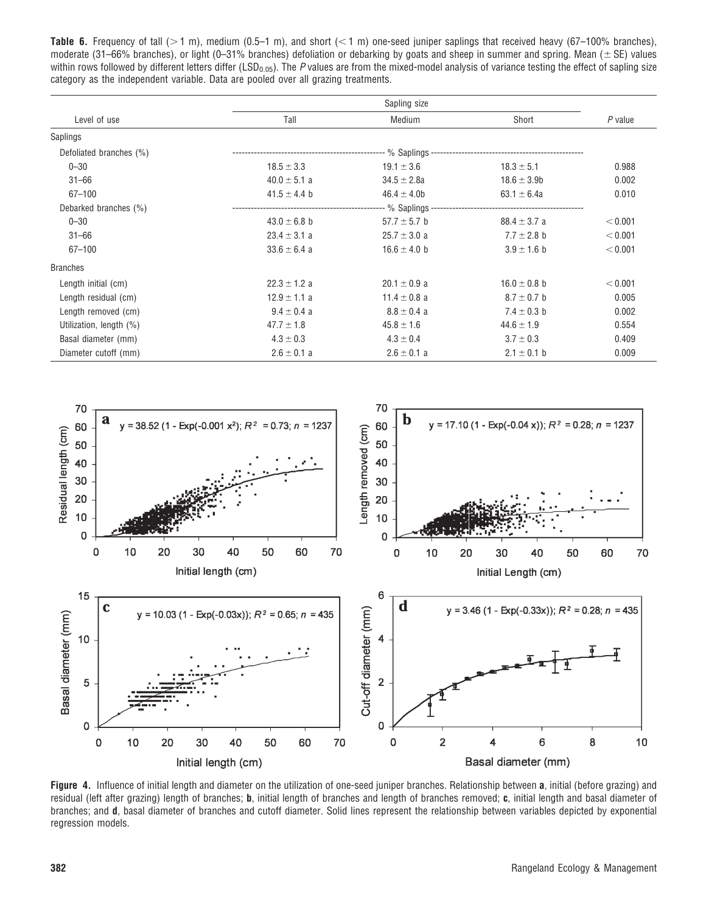Table 6. Frequency of tall ( $>1$  m), medium (0.5–1 m), and short (<1 m) one-seed juniper saplings that received heavy (67–100% branches), moderate (31–66% branches), or light (0–31% branches) defoliation or debarking by goats and sheep in summer and spring. Mean ( $\pm$  SE) values within rows followed by different letters differ (LSD<sub>0.05</sub>). The P values are from the mixed-model analysis of variance testing the effect of sapling size category as the independent variable. Data are pooled over all grazing treatments.

| Level of use            | Tall             | Medium           | Short            | P value |
|-------------------------|------------------|------------------|------------------|---------|
| Saplings                |                  |                  |                  |         |
| Defoliated branches (%) |                  |                  |                  |         |
| $0 - 30$                | $18.5 \pm 3.3$   | $19.1 \pm 3.6$   | $18.3 \pm 5.1$   | 0.988   |
| $31 - 66$               | $40.0 \pm 5.1 a$ | $34.5 \pm 2.8a$  | $18.6 \pm 3.9$ b | 0.002   |
| $67 - 100$              | $41.5 \pm 4.4$ b | $46.4 \pm 4.0$   | 63.1 $\pm$ 6.4a  | 0.010   |
| Debarked branches (%)   |                  |                  |                  |         |
| $0 - 30$                | $43.0 \pm 6.8$ b | $57.7 \pm 5.7$ b | $88.4 \pm 3.7$ a | < 0.001 |
| $31 - 66$               | $23.4 \pm 3.1 a$ | $25.7 \pm 3.0$ a | $7.7 \pm 2.8$ b  | < 0.001 |
| $67 - 100$              | $33.6 \pm 6.4$ a | $16.6 \pm 4.0$ b | $3.9 \pm 1.6$ b  | < 0.001 |
| <b>Branches</b>         |                  |                  |                  |         |
| Length initial (cm)     | $22.3 \pm 1.2$ a | $20.1 \pm 0.9$ a | $16.0 \pm 0.8$ b | < 0.001 |
| Length residual (cm)    | $12.9 \pm 1.1$ a | 11.4 $\pm$ 0.8 a | $8.7 \pm 0.7$ b  | 0.005   |
| Length removed (cm)     | $9.4 \pm 0.4$ a  | $8.8 \pm 0.4$ a  | $7.4 \pm 0.3$ b  | 0.002   |
| Utilization, length (%) | $47.7 \pm 1.8$   | $45.8 \pm 1.6$   | $44.6 \pm 1.9$   | 0.554   |
| Basal diameter (mm)     | $4.3 \pm 0.3$    | $4.3 \pm 0.4$    | $3.7 \pm 0.3$    | 0.409   |
| Diameter cutoff (mm)    | $2.6 \pm 0.1$ a  | $2.6 \pm 0.1$ a  | $2.1 \pm 0.1$ b  | 0.009   |



Figure 4. Influence of initial length and diameter on the utilization of one-seed juniper branches. Relationship between a, initial (before grazing) and residual (left after grazing) length of branches; **b**, initial length of branches and length of branches removed; c, initial length and basal diameter of branches; and d, basal diameter of branches and cutoff diameter. Solid lines represent the relationship between variables depicted by exponential regression models.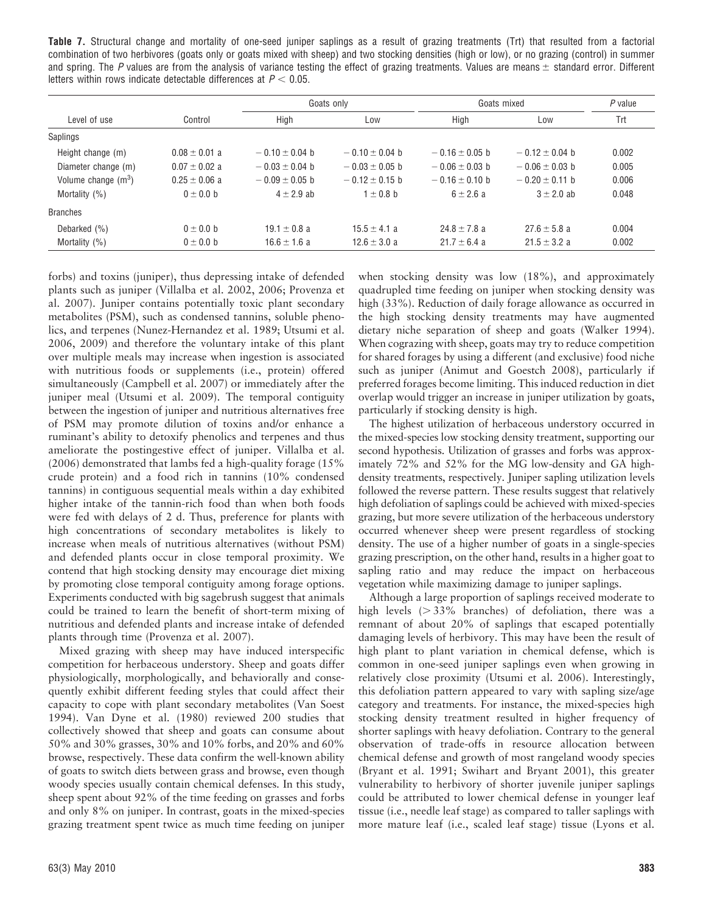Table 7. Structural change and mortality of one-seed juniper saplings as a result of grazing treatments (Trt) that resulted from a factorial combination of two herbivores (goats only or goats mixed with sheep) and two stocking densities (high or low), or no grazing (control) in summer and spring. The P values are from the analysis of variance testing the effect of grazing treatments. Values are means  $\pm$  standard error. Different letters within rows indicate detectable differences at  $P < 0.05$ .

|                       |                   | Goats only         |                    | Goats mixed        | $P$ value          |       |
|-----------------------|-------------------|--------------------|--------------------|--------------------|--------------------|-------|
| Level of use          | Control           | High               | Low                | High               | Low                | Trt   |
| Saplings              |                   |                    |                    |                    |                    |       |
| Height change (m)     | $0.08 \pm 0.01$ a | $-0.10 \pm 0.04$ b | $-0.10 \pm 0.04$ b | $-0.16 \pm 0.05$ b | $-0.12 \pm 0.04$ b | 0.002 |
| Diameter change (m)   | $0.07 \pm 0.02$ a | $-0.03 \pm 0.04$ b | $-0.03 \pm 0.05$ b | $-0.06 \pm 0.03$ b | $-0.06 \pm 0.03$ b | 0.005 |
| Volume change $(m^3)$ | $0.25 \pm 0.06$ a | $-0.09 \pm 0.05$ b | $-0.12 \pm 0.15$ b | $-0.16 \pm 0.10$ b | $-0.20 \pm 0.11$ b | 0.006 |
| Mortality (%)         | $0 \pm 0.0$ b     | $4 \pm 2.9$ ab     | $1 \pm 0.8$ b      | $6 \pm 2.6 a$      | $3 \pm 2.0$ ab     | 0.048 |
| <b>Branches</b>       |                   |                    |                    |                    |                    |       |
| Debarked (%)          | $0 \pm 0.0$ b     | $19.1 \pm 0.8$ a   | $15.5 \pm 4.1$ a   | $24.8 \pm 7.8$ a   | $27.6 \pm 5.8$ a   | 0.004 |
| Mortality $(%)$       | $0 \pm 0.0$ b     | $16.6 \pm 1.6 a$   | $12.6 \pm 3.0 a$   | $21.7 \pm 6.4$ a   | $21.5 \pm 3.2$ a   | 0.002 |

forbs) and toxins (juniper), thus depressing intake of defended plants such as juniper (Villalba et al. 2002, 2006; Provenza et al. 2007). Juniper contains potentially toxic plant secondary metabolites (PSM), such as condensed tannins, soluble phenolics, and terpenes (Nunez-Hernandez et al. 1989; Utsumi et al. 2006, 2009) and therefore the voluntary intake of this plant over multiple meals may increase when ingestion is associated with nutritious foods or supplements (i.e., protein) offered simultaneously (Campbell et al. 2007) or immediately after the juniper meal (Utsumi et al. 2009). The temporal contiguity between the ingestion of juniper and nutritious alternatives free of PSM may promote dilution of toxins and/or enhance a ruminant's ability to detoxify phenolics and terpenes and thus ameliorate the postingestive effect of juniper. Villalba et al. (2006) demonstrated that lambs fed a high-quality forage (15% crude protein) and a food rich in tannins (10% condensed tannins) in contiguous sequential meals within a day exhibited higher intake of the tannin-rich food than when both foods were fed with delays of 2 d. Thus, preference for plants with high concentrations of secondary metabolites is likely to increase when meals of nutritious alternatives (without PSM) and defended plants occur in close temporal proximity. We contend that high stocking density may encourage diet mixing by promoting close temporal contiguity among forage options. Experiments conducted with big sagebrush suggest that animals could be trained to learn the benefit of short-term mixing of nutritious and defended plants and increase intake of defended plants through time (Provenza et al. 2007).

Mixed grazing with sheep may have induced interspecific competition for herbaceous understory. Sheep and goats differ physiologically, morphologically, and behaviorally and consequently exhibit different feeding styles that could affect their capacity to cope with plant secondary metabolites (Van Soest 1994). Van Dyne et al. (1980) reviewed 200 studies that collectively showed that sheep and goats can consume about 50% and 30% grasses, 30% and 10% forbs, and 20% and 60% browse, respectively. These data confirm the well-known ability of goats to switch diets between grass and browse, even though woody species usually contain chemical defenses. In this study, sheep spent about 92% of the time feeding on grasses and forbs and only 8% on juniper. In contrast, goats in the mixed-species grazing treatment spent twice as much time feeding on juniper

when stocking density was low (18%), and approximately quadrupled time feeding on juniper when stocking density was high (33%). Reduction of daily forage allowance as occurred in the high stocking density treatments may have augmented dietary niche separation of sheep and goats (Walker 1994). When cograzing with sheep, goats may try to reduce competition for shared forages by using a different (and exclusive) food niche such as juniper (Animut and Goestch 2008), particularly if preferred forages become limiting. This induced reduction in diet overlap would trigger an increase in juniper utilization by goats, particularly if stocking density is high.

The highest utilization of herbaceous understory occurred in the mixed-species low stocking density treatment, supporting our second hypothesis. Utilization of grasses and forbs was approximately 72% and 52% for the MG low-density and GA highdensity treatments, respectively. Juniper sapling utilization levels followed the reverse pattern. These results suggest that relatively high defoliation of saplings could be achieved with mixed-species grazing, but more severe utilization of the herbaceous understory occurred whenever sheep were present regardless of stocking density. The use of a higher number of goats in a single-species grazing prescription, on the other hand, results in a higher goat to sapling ratio and may reduce the impact on herbaceous vegetation while maximizing damage to juniper saplings.

Although a large proportion of saplings received moderate to high levels  $( > 33\%$  branches) of defoliation, there was a remnant of about 20% of saplings that escaped potentially damaging levels of herbivory. This may have been the result of high plant to plant variation in chemical defense, which is common in one-seed juniper saplings even when growing in relatively close proximity (Utsumi et al. 2006). Interestingly, this defoliation pattern appeared to vary with sapling size/age category and treatments. For instance, the mixed-species high stocking density treatment resulted in higher frequency of shorter saplings with heavy defoliation. Contrary to the general observation of trade-offs in resource allocation between chemical defense and growth of most rangeland woody species (Bryant et al. 1991; Swihart and Bryant 2001), this greater vulnerability to herbivory of shorter juvenile juniper saplings could be attributed to lower chemical defense in younger leaf tissue (i.e., needle leaf stage) as compared to taller saplings with more mature leaf (i.e., scaled leaf stage) tissue (Lyons et al.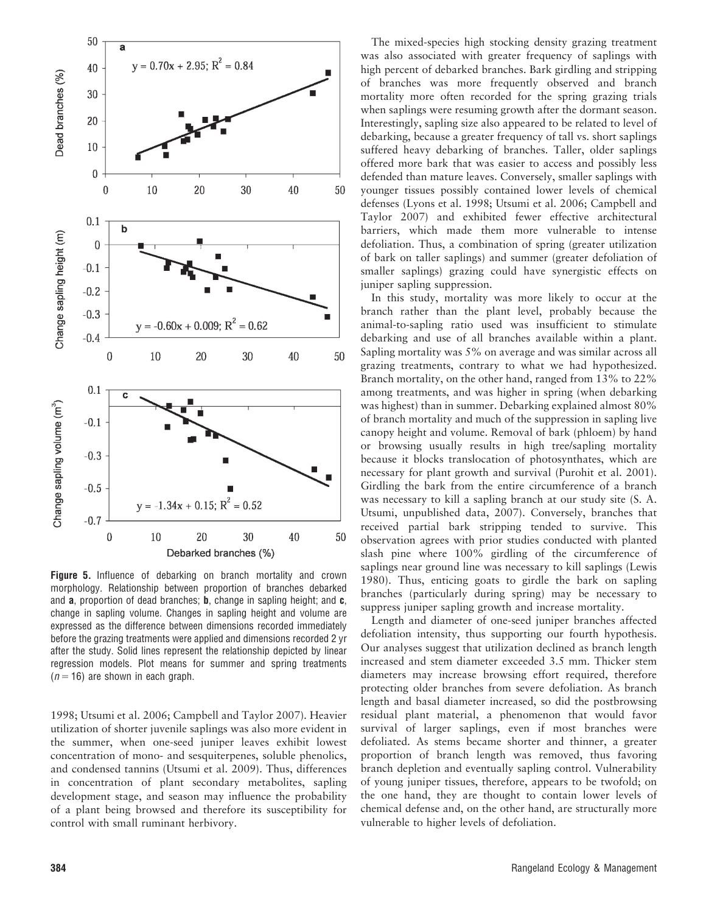

Figure 5. Influence of debarking on branch mortality and crown morphology. Relationship between proportion of branches debarked and **a**, proportion of dead branches; **b**, change in sapling height; and **c**, change in sapling volume. Changes in sapling height and volume are expressed as the difference between dimensions recorded immediately before the grazing treatments were applied and dimensions recorded 2 yr after the study. Solid lines represent the relationship depicted by linear regression models. Plot means for summer and spring treatments  $(n = 16)$  are shown in each graph.

1998; Utsumi et al. 2006; Campbell and Taylor 2007). Heavier utilization of shorter juvenile saplings was also more evident in the summer, when one-seed juniper leaves exhibit lowest concentration of mono- and sesquiterpenes, soluble phenolics, and condensed tannins (Utsumi et al. 2009). Thus, differences in concentration of plant secondary metabolites, sapling development stage, and season may influence the probability of a plant being browsed and therefore its susceptibility for control with small ruminant herbivory.

The mixed-species high stocking density grazing treatment was also associated with greater frequency of saplings with high percent of debarked branches. Bark girdling and stripping of branches was more frequently observed and branch mortality more often recorded for the spring grazing trials when saplings were resuming growth after the dormant season. Interestingly, sapling size also appeared to be related to level of debarking, because a greater frequency of tall vs. short saplings suffered heavy debarking of branches. Taller, older saplings offered more bark that was easier to access and possibly less defended than mature leaves. Conversely, smaller saplings with younger tissues possibly contained lower levels of chemical defenses (Lyons et al. 1998; Utsumi et al. 2006; Campbell and Taylor 2007) and exhibited fewer effective architectural barriers, which made them more vulnerable to intense defoliation. Thus, a combination of spring (greater utilization of bark on taller saplings) and summer (greater defoliation of smaller saplings) grazing could have synergistic effects on juniper sapling suppression.

In this study, mortality was more likely to occur at the branch rather than the plant level, probably because the animal-to-sapling ratio used was insufficient to stimulate debarking and use of all branches available within a plant. Sapling mortality was 5% on average and was similar across all grazing treatments, contrary to what we had hypothesized. Branch mortality, on the other hand, ranged from 13% to 22% among treatments, and was higher in spring (when debarking was highest) than in summer. Debarking explained almost 80% of branch mortality and much of the suppression in sapling live canopy height and volume. Removal of bark (phloem) by hand or browsing usually results in high tree/sapling mortality because it blocks translocation of photosynthates, which are necessary for plant growth and survival (Purohit et al. 2001). Girdling the bark from the entire circumference of a branch was necessary to kill a sapling branch at our study site (S. A. Utsumi, unpublished data, 2007). Conversely, branches that received partial bark stripping tended to survive. This observation agrees with prior studies conducted with planted slash pine where 100% girdling of the circumference of saplings near ground line was necessary to kill saplings (Lewis 1980). Thus, enticing goats to girdle the bark on sapling branches (particularly during spring) may be necessary to suppress juniper sapling growth and increase mortality.

Length and diameter of one-seed juniper branches affected defoliation intensity, thus supporting our fourth hypothesis. Our analyses suggest that utilization declined as branch length increased and stem diameter exceeded 3.5 mm. Thicker stem diameters may increase browsing effort required, therefore protecting older branches from severe defoliation. As branch length and basal diameter increased, so did the postbrowsing residual plant material, a phenomenon that would favor survival of larger saplings, even if most branches were defoliated. As stems became shorter and thinner, a greater proportion of branch length was removed, thus favoring branch depletion and eventually sapling control. Vulnerability of young juniper tissues, therefore, appears to be twofold; on the one hand, they are thought to contain lower levels of chemical defense and, on the other hand, are structurally more vulnerable to higher levels of defoliation.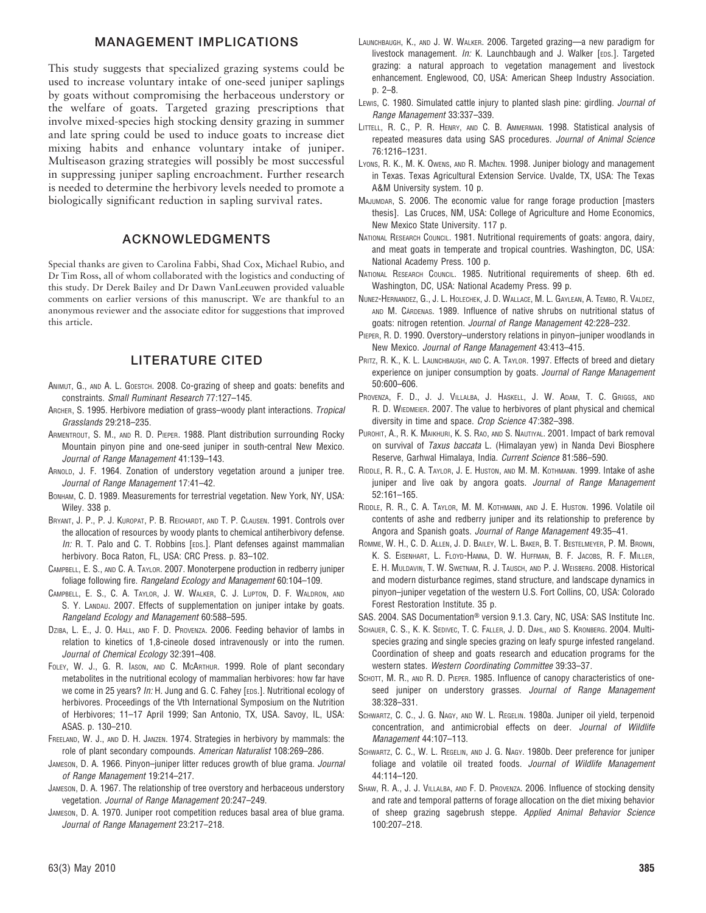# MANAGEMENT IMPLICATIONS

This study suggests that specialized grazing systems could be used to increase voluntary intake of one-seed juniper saplings by goats without compromising the herbaceous understory or the welfare of goats. Targeted grazing prescriptions that involve mixed-species high stocking density grazing in summer and late spring could be used to induce goats to increase diet mixing habits and enhance voluntary intake of juniper. Multiseason grazing strategies will possibly be most successful in suppressing juniper sapling encroachment. Further research is needed to determine the herbivory levels needed to promote a biologically significant reduction in sapling survival rates.

# ACKNOWLEDGMENTS

Special thanks are given to Carolina Fabbi, Shad Cox, Michael Rubio, and Dr Tim Ross, all of whom collaborated with the logistics and conducting of this study. Dr Derek Bailey and Dr Dawn VanLeeuwen provided valuable comments on earlier versions of this manuscript. We are thankful to an anonymous reviewer and the associate editor for suggestions that improved this article.

# LITERATURE CITED

- ANIMUT, G., AND A. L. GOESTCH. 2008. Co-grazing of sheep and goats: benefits and constraints. Small Ruminant Research 77:127–145.
- ARCHER, S. 1995. Herbivore mediation of grass-woody plant interactions. Tropical Grasslands 29:218–235.
- ARMENTROUT, S. M., AND R. D. PIEPER. 1988. Plant distribution surrounding Rocky Mountain pinyon pine and one-seed juniper in south-central New Mexico. Journal of Range Management 41:139–143.
- ARNOLD, J. F. 1964. Zonation of understory vegetation around a juniper tree. Journal of Range Management 17:41–42.
- BONHAM, C. D. 1989. Measurements for terrestrial vegetation. New York, NY, USA: Wiley. 338 p.
- BRYANT, J. P., P. J. KUROPAT, P. B. REICHARDT, AND T. P. CLAUSEN. 1991. Controls over the allocation of resources by woody plants to chemical antiherbivory defense. In: R. T. Palo and C. T. Robbins [EDS.]. Plant defenses against mammalian herbivory. Boca Raton, FL, USA: CRC Press. p. 83–102.
- CAMPBELL, E. S., AND C. A. TAYLOR. 2007. Monoterpene production in redberry juniper foliage following fire. Rangeland Ecology and Management 60:104–109.
- CAMPBELL, E. S., C. A. TAYLOR, J. W. WALKER, C. J. LUPTON, D. F. WALDRON, AND S. Y. LANDAU. 2007. Effects of supplementation on juniper intake by goats. Rangeland Ecology and Management 60:588–595.
- DZIBA, L. E., J. O. HALL, AND F. D. PROVENZA. 2006. Feeding behavior of lambs in relation to kinetics of 1,8-cineole dosed intravenously or into the rumen. Journal of Chemical Ecology 32:391–408.
- FOLEY, W. J., G. R. IASON, AND C. MCARTHUR. 1999. Role of plant secondary metabolites in the nutritional ecology of mammalian herbivores: how far have we come in 25 years? In: H. Jung and G. C. Fahey [EDS.]. Nutritional ecology of herbivores. Proceedings of the Vth International Symposium on the Nutrition of Herbivores; 11–17 April 1999; San Antonio, TX, USA. Savoy, IL, USA: ASAS. p. 130–210.
- FREELAND, W. J., AND D. H. JANZEN. 1974. Strategies in herbivory by mammals: the role of plant secondary compounds. American Naturalist 108:269–286.
- JAMESON, D. A. 1966. Pinyon-juniper litter reduces growth of blue grama. Journal of Range Management 19:214–217.
- JAMESON, D. A. 1967. The relationship of tree overstory and herbaceous understory vegetation. Journal of Range Management 20:247–249.
- JAMESON, D. A. 1970. Juniper root competition reduces basal area of blue grama. Journal of Range Management 23:217–218.
- LAUNCHBAUGH, K., AND J. W. WALKER. 2006. Targeted grazing—a new paradigm for livestock management. In: K. Launchbaugh and J. Walker [EDS.]. Targeted grazing: a natural approach to vegetation management and livestock enhancement. Englewood, CO, USA: American Sheep Industry Association. p. 2–8.
- LEWIS, C. 1980. Simulated cattle injury to planted slash pine: girdling. Journal of Range Management 33:337–339.
- LITTELL, R. C., P. R. HENRY, AND C. B. AMMERMAN. 1998. Statistical analysis of repeated measures data using SAS procedures. Journal of Animal Science 76:1216–1231.
- LYONS, R. K., M. K. OWENS, AND R. MAChEN. 1998. Juniper biology and management in Texas. Texas Agricultural Extension Service. Uvalde, TX, USA: The Texas A&M University system. 10 p.
- MAJUMDAR, S. 2006. The economic value for range forage production [masters thesis]. Las Cruces, NM, USA: College of Agriculture and Home Economics, New Mexico State University. 117 p.
- NATIONAL RESEARCH COUNCIL. 1981. Nutritional requirements of goats: angora, dairy, and meat goats in temperate and tropical countries. Washington, DC, USA: National Academy Press. 100 p.
- NATIONAL RESEARCH COUNCIL. 1985. Nutritional requirements of sheep. 6th ed. Washington, DC, USA: National Academy Press. 99 p.
- NUNEZ-HERNANDEZ, G., J. L. HOLECHEK, J. D. WALLACE, M. L. GAYLEAN, A. TEMBO, R. VALDEZ, AND M. CÁRDENAS. 1989. Influence of native shrubs on nutritional status of goats: nitrogen retention. Journal of Range Management 42:228–232.
- PIEPER, R. D. 1990. Overstory–understory relations in pinyon–juniper woodlands in New Mexico. Journal of Range Management 43:413–415.
- PRITZ, R. K., K. L. LAUNCHBAUGH, AND C. A. TAYLOR. 1997. Effects of breed and dietary experience on juniper consumption by goats. Journal of Range Management 50:600–606.
- PROVENZA, F. D., J. J. VILLALBA, J. HASKELL, J. W. ADAM, T. C. GRIGGS, AND R. D. WIEDMEIER. 2007. The value to herbivores of plant physical and chemical diversity in time and space. Crop Science 47:382–398.
- PUROHIT, A., R. K. MAIKHURI, K. S. RAO, AND S. NAUTIYAL. 2001. Impact of bark removal on survival of Taxus baccata L. (Himalayan yew) in Nanda Devi Biosphere Reserve, Garhwal Himalaya, India. Current Science 81:586-590.
- RIDDLE, R. R., C. A. TAYLOR, J. E. HUSTON, AND M. M. KOTHMANN. 1999. Intake of ashe juniper and live oak by angora goats. Journal of Range Management 52:161–165.
- RIDDLE, R. R., C. A. TAYLOR, M. M. KOTHMANN, AND J. E. HUSTON. 1996. Volatile oil contents of ashe and redberry juniper and its relationship to preference by Angora and Spanish goats. Journal of Range Management 49:35–41.
- ROMME, W. H., C. D. ALLEN, J. D. BAILEY, W. L. BAKER, B. T. BESTELMEYER, P. M. BROWN, K. S. EISENHART, L. FLOYD-HANNA, D. W. HUFFMAN, B. F. JACOBS, R. F. MILLER, E. H. MULDAVIN, T. W. SWETNAM, R. J. TAUSCH, AND P. J. WEISBERG. 2008. Historical and modern disturbance regimes, stand structure, and landscape dynamics in pinyon–juniper vegetation of the western U.S. Fort Collins, CO, USA: Colorado Forest Restoration Institute. 35 p.
- SAS. 2004. SAS Documentation<sup>®</sup> version 9.1.3. Cary, NC, USA: SAS Institute Inc.
- SCHAUER, C. S., K. K. SEDIVEC, T. C. FALLER, J. D. DAHL, AND S. KRONBERG. 2004. Multispecies grazing and single species grazing on leafy spurge infested rangeland. Coordination of sheep and goats research and education programs for the western states. Western Coordinating Committee 39:33–37.
- SCHOTT, M. R., AND R. D. PIEPER. 1985. Influence of canopy characteristics of oneseed juniper on understory grasses. Journal of Range Management 38:328–331.
- SCHWARTZ, C. C., J. G. NAGY, AND W. L. REGELIN. 1980a. Juniper oil yield, terpenoid concentration, and antimicrobial effects on deer. Journal of Wildlife Management 44:107–113.
- SCHWARTZ, C. C., W. L. REGELIN, AND J. G. NAGY. 1980b. Deer preference for juniper foliage and volatile oil treated foods. Journal of Wildlife Management 44:114–120.
- SHAW, R. A., J. J. VILLALBA, AND F. D. PROVENZA. 2006. Influence of stocking density and rate and temporal patterns of forage allocation on the diet mixing behavior of sheep grazing sagebrush steppe. Applied Animal Behavior Science 100:207–218.